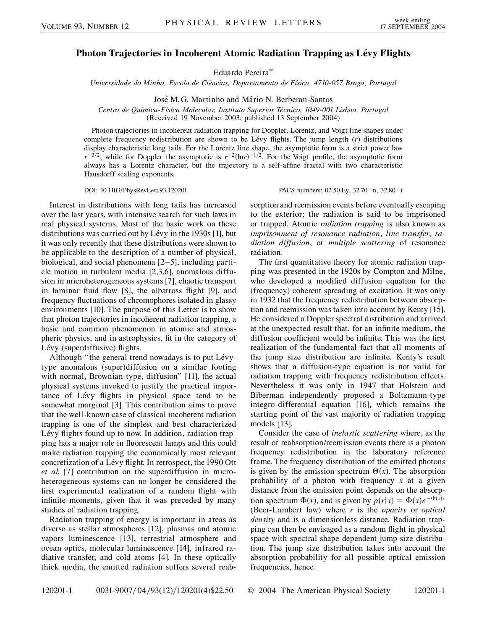## **Photon Trajectories in Incoherent Atomic Radiation Trapping as Lévy Flights**

Eduardo Pereira\*

*Universidade do Minho, Escola de Cieˆncias, Departamento de Fı´sica, 4710-057 Braga, Portugal*

José M. G. Martinho and Mário N. Berberan-Santos

Centro de Química-Física Molecular, Instituto Superior Técnico, 1049-001 Lisboa, Portugal (Received 19 November 2003; published 13 September 2004)

Photon trajectories in incoherent radiation trapping for Doppler, Lorentz, and Voigt line shapes under complete frequency redistribution are shown to be Lévy flights. The jump length (*r*) distributions display characteristic long tails. For the Lorentz line shape, the asymptotic form is a strict power law  $r^{-3/2}$ , while for Doppler the asymptotic is  $r^{-2}(\ln r)^{-1/2}$ . For the Voigt profile, the asymptotic form always has a Lorentz character, but the trajectory is a self-affine fractal with two characteristic Hausdorff scaling exponents.

Interest in distributions with long tails has increased over the last years, with intensive search for such laws in real physical systems. Most of the basic work on these distributions was carried out by Lévy in the  $1930s$  [1], but it was only recently that these distributions were shown to be applicable to the description of a number of physical, biological, and social phenomena [2–5], including particle motion in turbulent media [2,3,6], anomalous diffusion in microheterogeneous systems [7], chaotic transport in laminar fluid flow [8], the albatross flight [9], and frequency fluctuations of chromophores isolated in glassy environments [10]. The purpose of this Letter is to show that photon trajectories in incoherent radiation trapping, a basic and common phenomenon in atomic and atmospheric physics, and in astrophysics, fit in the category of Lévy (superdiffusive) flights.

Although "the general trend nowadays is to put Lévytype anomalous (super)diffusion on a similar footing with normal, Brownian-type, diffusion'' [11], the actual physical systems invoked to justify the practical importance of Lévy flights in physical space tend to be somewhat marginal [3]. This contribution aims to prove that the well-known case of classical incoherent radiation trapping is one of the simplest and best characterized Lévy flights found up to now. In addition, radiation trapping has a major role in fluorescent lamps and this could make radiation trapping the economically most relevant concretization of a Lévy flight. In retrospect, the 1990 Ott *et al.* [7] contribution on the superdiffusion in microheterogeneous systems can no longer be considered the first experimental realization of a random flight with infinite moments, given that it was preceded by many studies of radiation trapping.

Radiation trapping of energy is important in areas as diverse as stellar atmospheres [12], plasmas and atomic vapors luminescence [13], terrestrial atmosphere and ocean optics, molecular luminescence [14], infrared radiative transfer, and cold atoms [4]. In these optically thick media, the emitted radiation suffers several reab-

DOI: 10.1103/PhysRevLett.93.120201 PACS numbers: 02.50.Ey, 32.70.–n, 32.80.–t

sorption and reemission events before eventually escaping to the exterior; the radiation is said to be imprisoned or trapped. Atomic *radiation trapping* is also known as *imprisonment of resonance radiation*, *line transfer*, *radiation diffusion*, or *multiple scattering* of resonance radiation.

The first quantitative theory for atomic radiation trapping was presented in the 1920s by Compton and Milne, who developed a modified diffusion equation for the (frequency) coherent spreading of excitation. It was only in 1932 that the frequency redistribution between absorption and reemission was taken into account by Kenty [15]. He considered a Doppler spectral distribution and arrived at the unexpected result that, for an infinite medium, the diffusion coefficient would be infinite. This was the first realization of the fundamental fact that all moments of the jump size distribution are infinite. Kenty's result shows that a diffusion-type equation is not valid for radiation trapping with frequency redistribution effects. Nevertheless it was only in 1947 that Holstein and Biberman independently proposed a Boltzmann-type integro-differential equation [16], which remains the starting point of the vast majority of radiation trapping models [13].

Consider the case of *inelastic scattering* where, as the result of reabsorption/reemission events there is a photon frequency redistribution in the laboratory reference frame. The frequency distribution of the emitted photons is given by the emission spectrum  $\Theta(x)$ . The absorption probability of a photon with frequency *x* at a given distance from the emission point depends on the absorption spectrum  $\Phi(x)$ , and is given by  $p(r|x) = \Phi(x)e^{-\Phi(x)r}$ (Beer-Lambert law) where *r* is the *opacity* or *optical density* and is a dimensionless distance. Radiation trapping can then be envisaged as a random flight in physical space with spectral shape dependent jump size distribution. The jump size distribution takes into account the absorption probability for all possible optical emission frequencies, hence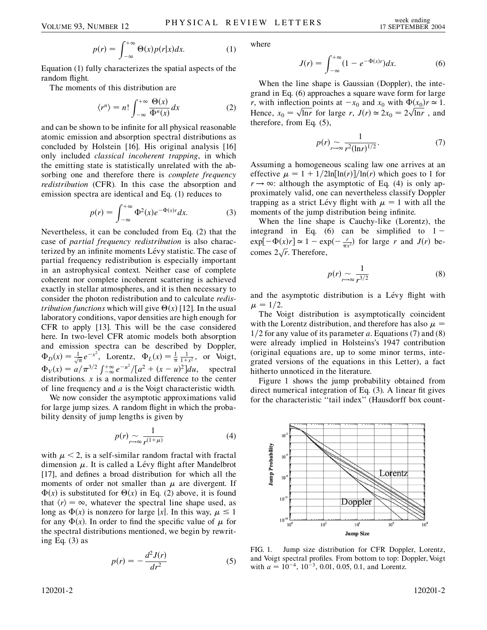$$
p(r) = \int_{-\infty}^{+\infty} \Theta(x) p(r|x) dx.
$$
 (1)

Equation (1) fully characterizes the spatial aspects of the random flight.

The moments of this distribution are

$$
\langle r^n \rangle = n! \int_{-\infty}^{+\infty} \frac{\Theta(x)}{\Phi^n(x)} dx \tag{2}
$$

and can be shown to be infinite for all physical reasonable atomic emission and absorption spectral distributions as concluded by Holstein [16]. His original analysis [16] only included *classical incoherent trapping*, in which the emitting state is statistically unrelated with the absorbing one and therefore there is *complete frequency redistribution* (CFR). In this case the absorption and emission spectra are identical and Eq. (1) reduces to

$$
p(r) = \int_{-\infty}^{+\infty} \Phi^2(x) e^{-\Phi(x)r} dx.
$$
 (3)

Nevertheless, it can be concluded from Eq. (2) that the case of *partial frequency redistribution* is also characterized by an infinite moments Lévy statistic. The case of partial frequency redistribution is especially important in an astrophysical context. Neither case of complete coherent nor complete incoherent scattering is achieved exactly in stellar atmospheres, and it is then necessary to consider the photon redistribution and to calculate *redistribution functions* which will give  $\Theta(x)$  [12]. In the usual laboratory conditions, vapor densities are high enough for CFR to apply [13]. This will be the case considered here. In two-level CFR atomic models both absorption and emission spectra can be described by Doppler,  $\Phi_D(x) = \frac{1}{\sqrt{\pi}} e^{-x^2}$ , Lorentz,  $\Phi_L(x) = \frac{1}{\pi} \frac{1}{1+x^2}$ , or Voigt,  $\Phi_V(x) = a/\pi^{3/2} \int_{-\infty}^{+\infty} e^{-u^2} / [a^2 + (x - u)^2] du$ , spectral distributions.  $x$  is a normalized difference to the center of line frequency and *a* is the Voigt characteristic width.

We now consider the asymptotic approximations valid for large jump sizes. A random flight in which the probability density of jump lengths is given by

$$
p(r) \sim \frac{1}{r^{(1+\mu)}}\tag{4}
$$

with  $\mu < 2$ , is a self-similar random fractal with fractal dimension  $\mu$ . It is called a Lévy flight after Mandelbrot [17], and defines a broad distribution for which all the moments of order not smaller than  $\mu$  are divergent. If  $\Phi(x)$  is substituted for  $\Theta(x)$  in Eq. (2) above, it is found that  $\langle r \rangle = \infty$ , whatever the spectral line shape used, as long as  $\Phi(x)$  is nonzero for large |x|. In this way,  $\mu \leq 1$ for any  $\Phi(x)$ . In order to find the specific value of  $\mu$  for the spectral distributions mentioned, we begin by rewriting Eq. (3) as

$$
p(r) = -\frac{d^2 J(r)}{dr^2} \tag{5}
$$

where

$$
J(r) = \int_{-\infty}^{+\infty} (1 - e^{-\Phi(x)r}) dx.
$$
 (6)

When the line shape is Gaussian (Doppler), the integrand in Eq. (6) approaches a square wave form for large *r*, with inflection points at  $-x_0$  and  $x_0$  with  $\Phi(x_0)r \approx 1$ . Hence,  $x_0 = \sqrt{\ln r}$  $\frac{1}{1}$ ---lon points at  $-x_0$  and  $x_0$  with  $\Phi(x_0)$ <br>  $\sqrt{\ln r}$  for large *r*,  $J(r) \approx 2x_0 = 2\sqrt{\ln r}$  $\frac{\rho(x_0)}{\rho \ln r}$ , and therefore, from Eq. (5),

$$
p(r) \sim \frac{1}{r^{2}(\ln r)^{1/2}}.\tag{7}
$$

Assuming a homogeneous scaling law one arrives at an effective  $\mu = 1 + 1/2\ln[\ln(r)]/\ln(r)$  which goes to 1 for  $r \rightarrow \infty$ : although the asymptotic of Eq. (4) is only approximately valid, one can nevertheless classify Doppler trapping as a strict Lévy flight with  $\mu = 1$  with all the moments of the jump distribution being infinite.

When the line shape is Cauchy-like (Lorentz), the integrand in Eq. (6) can be simplified to  $1 \exp[-\Phi(x)r] \approx 1 - \exp(-\frac{r}{\pi x^2})$  for large *r* and *J(r)* becomes  $2\sqrt{r}$ . Therefore, י<br>-<br>"

$$
p(r) \sim \frac{1}{r^{3/2}}\tag{8}
$$

and the asymptotic distribution is a Lévy flight with  $\mu = 1/2.$ 

The Voigt distribution is asymptotically coincident with the Lorentz distribution, and therefore has also  $\mu =$  $1/2$  for any value of its parameter *a*. Equations (7) and (8) were already implied in Holsteins's 1947 contribution (original equations are, up to some minor terms, integrated versions of the equations in this Letter), a fact hitherto unnoticed in the literature.

Figure 1 shows the jump probability obtained from direct numerical integration of Eq. (3). A linear fit gives for the characteristic "tail index" (Hausdorff box count-



FIG. 1. Jump size distribution for CFR Doppler, Lorentz, and Voigt spectral profiles. From bottom to top: Doppler, Voigt with  $a = 10^{-4}$ ,  $10^{-3}$ , 0.01, 0.05, 0.1, and Lorentz.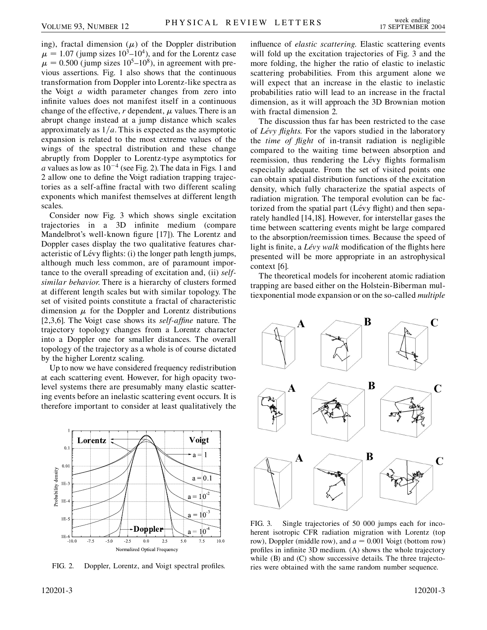ing), fractal dimension  $(\mu)$  of the Doppler distribution  $\mu = 1.07$  (jump sizes  $10^3 - 10^4$ ), and for the Lorentz case  $\mu = 0.500$  (jump sizes 10<sup>5</sup>–10<sup>8</sup>), in agreement with previous assertions. Fig. 1 also shows that the continuous transformation from Doppler into Lorentz-like spectra as the Voigt *a* width parameter changes from zero into infinite values does not manifest itself in a continuous change of the effective,  $r$  dependent,  $\mu$  values. There is an abrupt change instead at a jump distance which scales approximately as  $1/a$ . This is expected as the asymptotic expansion is related to the most extreme values of the wings of the spectral distribution and these change abruptly from Doppler to Lorentz-type asymptotics for *a* values as low as  $10^{-4}$  (see Fig. 2). The data in Figs. 1 and 2 allow one to define the Voigt radiation trapping trajectories as a self-affine fractal with two different scaling exponents which manifest themselves at different length scales.

Consider now Fig. 3 which shows single excitation trajectories in a 3D infinite medium (compare Mandelbrot's well-known figure [17]). The Lorentz and Doppler cases display the two qualitative features characteristic of Lévy flights: (i) the longer path length jumps, although much less common, are of paramount importance to the overall spreading of excitation and, (ii) *selfsimilar behavior*. There is a hierarchy of clusters formed at different length scales but with similar topology. The set of visited points constitute a fractal of characteristic dimension  $\mu$  for the Doppler and Lorentz distributions [2,3,6]. The Voigt case shows its *self-affine* nature. The trajectory topology changes from a Lorentz character into a Doppler one for smaller distances. The overall topology of the trajectory as a whole is of course dictated by the higher Lorentz scaling.

Up to now we have considered frequency redistribution at each scattering event. However, for high opacity twolevel systems there are presumably many elastic scattering events before an inelastic scattering event occurs. It is therefore important to consider at least qualitatively the



FIG. 2. Doppler, Lorentz, and Voigt spectral profiles.

The discussion thus far has been restricted to the case of *Le´vy flights*. For the vapors studied in the laboratory the *time of flight* of in-transit radiation is negligible compared to the waiting time between absorption and reemission, thus rendering the Lévy flights formalism especially adequate. From the set of visited points one can obtain spatial distribution functions of the excitation density, which fully characterize the spatial aspects of radiation migration. The temporal evolution can be factorized from the spatial part (Lévy flight) and then separately handled [14,18]. However, for interstellar gases the time between scattering events might be large compared to the absorption/reemission times. Because the speed of light is finite, a *Lévy walk* modification of the flights here presented will be more appropriate in an astrophysical context [6].

The theoretical models for incoherent atomic radiation trapping are based either on the Holstein-Biberman multiexponential mode expansion or on the so-called *multiple*



FIG. 3. Single trajectories of 50 000 jumps each for incoherent isotropic CFR radiation migration with Lorentz (top row), Doppler (middle row), and  $a = 0.001$  Voigt (bottom row) profiles in infinite 3D medium. (A) shows the whole trajectory while (B) and (C) show successive details. The three trajectories were obtained with the same random number sequence.